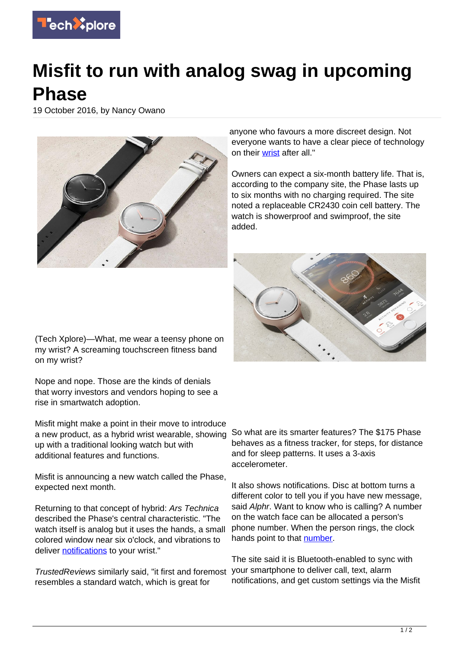

## **Misfit to run with analog swag in upcoming Phase**

19 October 2016, by Nancy Owano



anyone who favours a more discreet design. Not everyone wants to have a clear piece of technology on their [wrist](http://www.trustedreviews.com/news/the-misfit-phase-is-the-company-s-first-hybrid-smartwatch) after all."

Owners can expect a six-month battery life. That is, according to the company site, the Phase lasts up to six months with no charging required. The site noted a replaceable CR2430 coin cell battery. The watch is showerproof and swimproof, the site added.



(Tech Xplore)—What, me wear a teensy phone on my wrist? A screaming touchscreen fitness band on my wrist?

Nope and nope. Those are the kinds of denials that worry investors and vendors hoping to see a rise in smartwatch adoption.

Misfit might make a point in their move to introduce a new product, as a hybrid wrist wearable, showing up with a traditional looking watch but with additional features and functions.

Misfit is announcing a new watch called the Phase, expected next month.

Returning to that concept of hybrid: Ars Technica described the Phase's central characteristic. "The watch itself is analog but it uses the hands, a small colored window near six o'clock, and vibrations to deliver [notifications](http://arstechnica.com/gadgets/2016/10/misfit-debutes-first-real-timepiece-the-phase-hybrid-smartwatch/) to your wrist."

TrustedReviews similarly said, "it first and foremost resembles a standard watch, which is great for

So what are its smarter features? The \$175 Phase behaves as a fitness tracker, for steps, for distance and for sleep patterns. It uses a 3-axis accelerometer.

It also shows notifications. Disc at bottom turns a different color to tell you if you have new message, said Alphr. Want to know who is calling? A number on the watch face can be allocated a person's phone number. When the person rings, the clock hands point to that [number](http://www.alphr.com/wearables/1004548/misfit-announces-the-phase-smartwatch-hybrid).

The site said it is Bluetooth-enabled to sync with your smartphone to deliver call, text, alarm notifications, and get custom settings via the Misfit